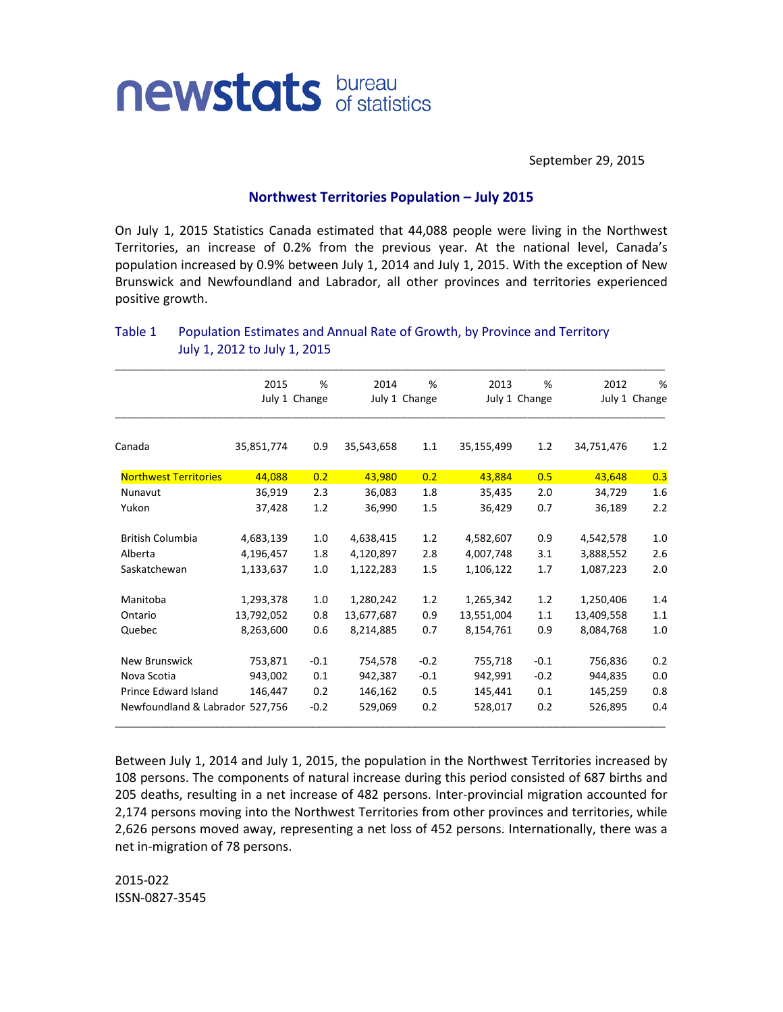

September 29, 2015

## **Northwest Territories Population – July 2015**

On July 1, 2015 Statistics Canada estimated that 44,088 people were living in the Northwest Territories, an increase of 0.2% from the previous year. At the national level, Canada's population increased by 0.9% between July 1, 2014 and July 1, 2015. With the exception of New Brunswick and Newfoundland and Labrador, all other provinces and territories experienced positive growth.

|                                 | 2015          | %      | 2014          | %      | 2013       | %             | 2012       | %             |
|---------------------------------|---------------|--------|---------------|--------|------------|---------------|------------|---------------|
|                                 | July 1 Change |        | July 1 Change |        |            | July 1 Change |            | July 1 Change |
| Canada                          | 35,851,774    | 0.9    | 35,543,658    | 1.1    | 35,155,499 | 1.2           | 34,751,476 | 1.2           |
| <b>Northwest Territories</b>    | 44,088        | 0.2    | 43,980        | 0.2    | 43,884     | 0.5           | 43,648     | 0.3           |
| Nunavut                         | 36,919        | 2.3    | 36,083        | 1.8    | 35,435     | 2.0           | 34,729     | 1.6           |
| Yukon                           | 37,428        | 1.2    | 36,990        | 1.5    | 36,429     | 0.7           | 36,189     | 2.2           |
| <b>British Columbia</b>         | 4,683,139     | 1.0    | 4,638,415     | 1.2    | 4,582,607  | 0.9           | 4,542,578  | 1.0           |
| Alberta                         | 4,196,457     | 1.8    | 4,120,897     | 2.8    | 4,007,748  | 3.1           | 3,888,552  | 2.6           |
| Saskatchewan                    | 1,133,637     | 1.0    | 1,122,283     | 1.5    | 1,106,122  | 1.7           | 1,087,223  | 2.0           |
| Manitoba                        | 1,293,378     | 1.0    | 1,280,242     | 1.2    | 1,265,342  | 1.2           | 1,250,406  | 1.4           |
| Ontario                         | 13,792,052    | 0.8    | 13,677,687    | 0.9    | 13,551,004 | 1.1           | 13,409,558 | 1.1           |
| Quebec                          | 8,263,600     | 0.6    | 8,214,885     | 0.7    | 8,154,761  | 0.9           | 8,084,768  | 1.0           |
| New Brunswick                   | 753,871       | $-0.1$ | 754,578       | $-0.2$ | 755,718    | $-0.1$        | 756,836    | 0.2           |
| Nova Scotia                     | 943,002       | 0.1    | 942,387       | $-0.1$ | 942,991    | $-0.2$        | 944,835    | 0.0           |
| <b>Prince Edward Island</b>     | 146,447       | 0.2    | 146,162       | 0.5    | 145,441    | 0.1           | 145,259    | 0.8           |
| Newfoundland & Labrador 527,756 |               | $-0.2$ | 529,069       | 0.2    | 528,017    | 0.2           | 526,895    | 0.4           |

## Table 1 Population Estimates and Annual Rate of Growth, by Province and Territory July 1, 2012 to July 1, 2015

Between July 1, 2014 and July 1, 2015, the population in the Northwest Territories increased by 108 persons. The components of natural increase during this period consisted of 687 births and 205 deaths, resulting in a net increase of 482 persons. Inter-provincial migration accounted for 2,174 persons moving into the Northwest Territories from other provinces and territories, while 2,626 persons moved away, representing a net loss of 452 persons. Internationally, there was a net in-migration of 78 persons.

2015-022 ISSN-0827-3545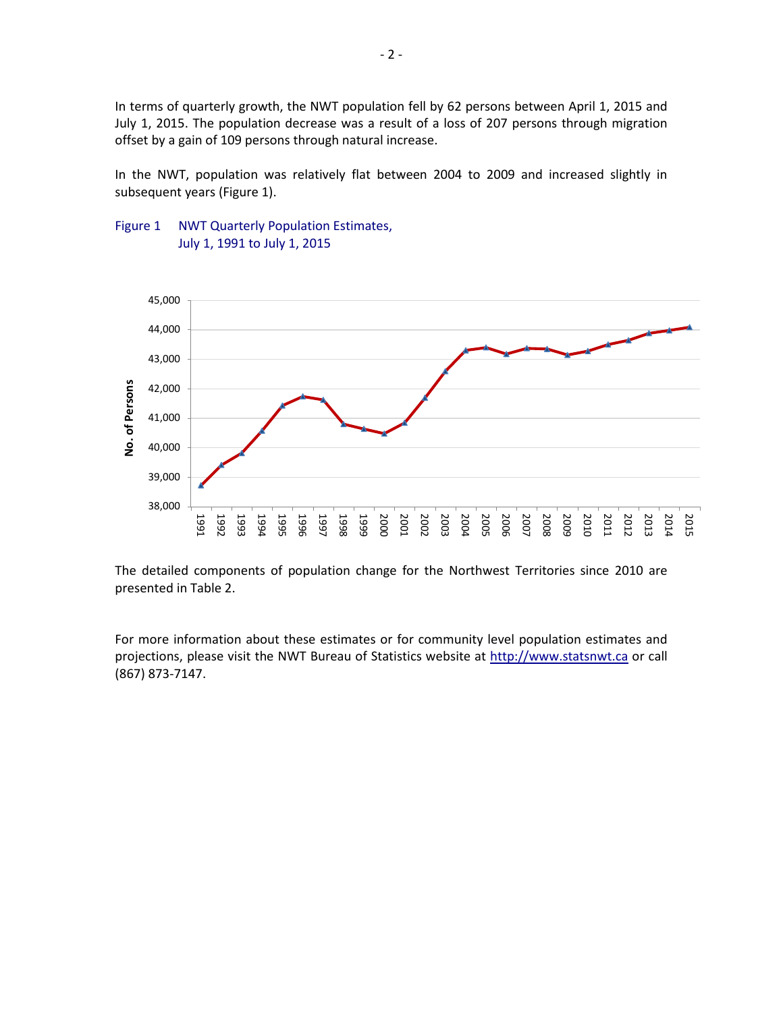In terms of quarterly growth, the NWT population fell by 62 persons between April 1, 2015 and July 1, 2015. The population decrease was a result of a loss of 207 persons through migration offset by a gain of 109 persons through natural increase.

In the NWT, population was relatively flat between 2004 to 2009 and increased slightly in subsequent years (Figure 1).





The detailed components of population change for the Northwest Territories since 2010 are presented in Table 2.

For more information about these estimates or for community level population estimates and projections, please visit the NWT Bureau of Statistics website at http://www.statsnwt.ca or call (867) 873-7147.